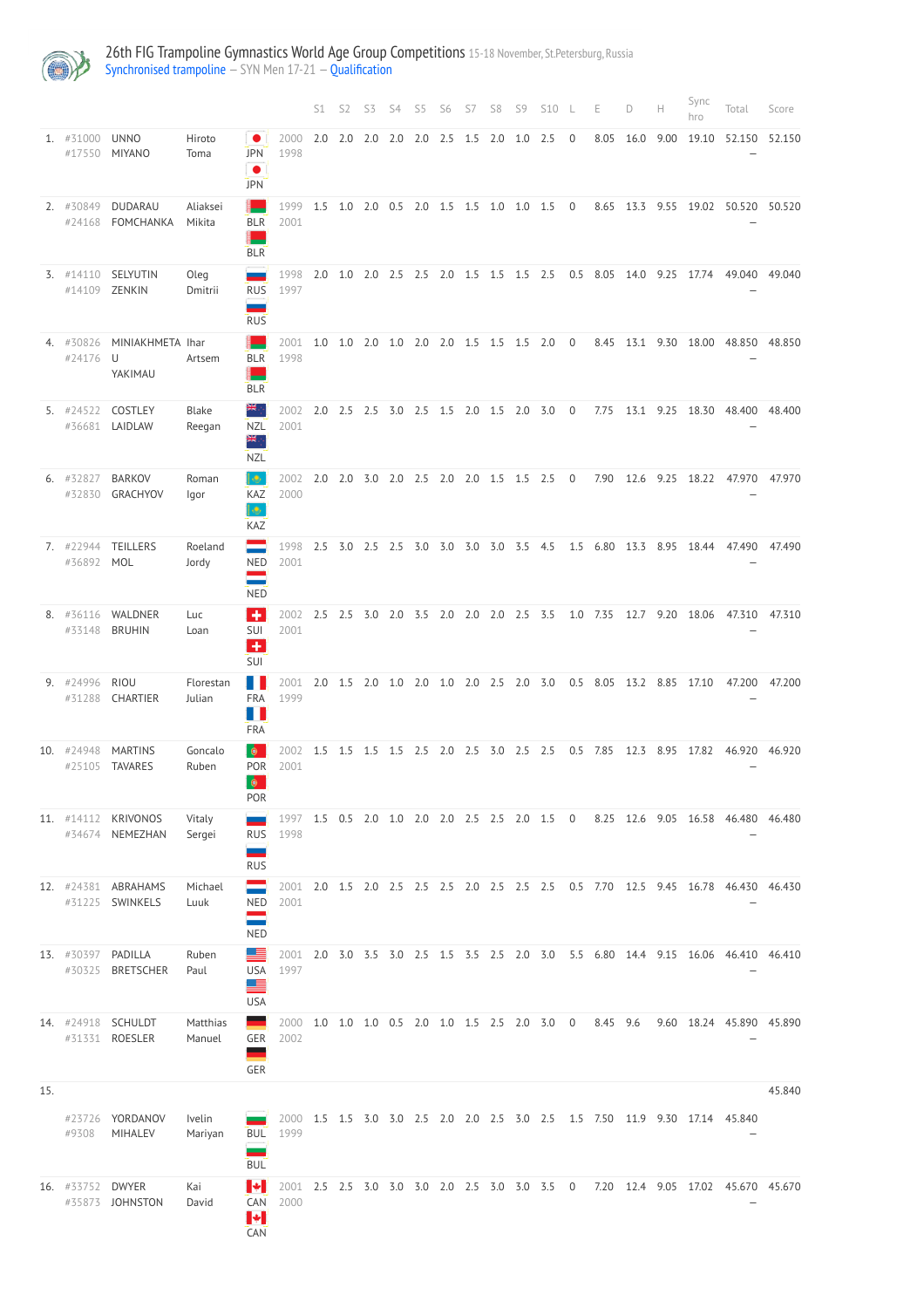

## 26th FIG Trampoline Gymnastics World Age Group Competitions 15-18 November, St.Petersburg, Russia [Synchronised trampoline](http://192.168.1.10:9001/event/SYN) - SYN Men 17-21 - [Qualification](http://192.168.1.10:9001/stages/66)

|     |                         |                                        |                     |                                             |                                                        | S1  | S2             | S3                                      | S4  | S5          | S6                | S7                          | S8  | S9  | <b>S10</b>                                |                | Е             | D         | Н    | Sync<br>hro     | Total                                                                          | Score  |
|-----|-------------------------|----------------------------------------|---------------------|---------------------------------------------|--------------------------------------------------------|-----|----------------|-----------------------------------------|-----|-------------|-------------------|-----------------------------|-----|-----|-------------------------------------------|----------------|---------------|-----------|------|-----------------|--------------------------------------------------------------------------------|--------|
|     | 1. #31000               | <b>UNNO</b><br>#17550 MIYANO           | Hiroto<br>Toma      | <b>JPN</b><br>$\bullet$<br><b>JPN</b>       | 2000<br>1998                                           | 2.0 | 2.0            | 2.0                                     | 2.0 | 2.0         | 2.5               | 1.5                         | 2.0 | 1.0 | 2.5                                       | $\mathbf 0$    | 8.05          | 16.0      | 9.00 | 19.10           | 52.150                                                                         | 52.150 |
|     | 2. #30849<br>#24168     | DUDARAU<br>FOMCHANKA                   | Aliaksei<br>Mikita  | <b>BLR</b><br><b>BLR</b>                    | 1999<br>2001                                           | 1.5 |                |                                         |     |             |                   |                             |     |     | 1.0 2.0 0.5 2.0 1.5 1.5 1.0 1.0 1.5 0     |                | 8.65          | 13.3      | 9.55 |                 | 19.02 50.520 50.520                                                            |        |
|     | $3.$ #14110             | SELYUTIN<br>#14109 ZENKIN              | Oleg<br>Dmitrii     | <b>RUS</b><br>-<br><b>RUS</b>               | 1998<br>1997                                           | 2.0 |                | 1.0 2.0 2.5 2.5 2.0 1.5 1.5 1.5 2.5     |     |             |                   |                             |     |     |                                           |                | 0.5 8.05 14.0 |           | 9.25 | 17.74           | 49.040                                                                         | 49.040 |
|     | 4. #30826<br>#24176 U   | MINIAKHMETA Ihar<br>YAKIMAU            | Artsem              | <b>BLR</b><br>−<br><b>BLR</b>               | 2001<br>1998                                           | 1.0 | 1.0            | 2.0                                     | 1.0 |             | $2.0$ $2.0$ $1.5$ |                             | 1.5 | 1.5 | 2.0                                       | $\overline{0}$ | 8.45          | 13.1      | 9.30 | 18.00           | 48.850                                                                         | 48.850 |
|     | $5.$ #24522             | COSTLEY<br>#36681 LAIDLAW              | Blake<br>Reegan     | ≭⊭.,<br><b>NZL</b><br>₩<br><b>NZL</b>       | 2002<br>2001                                           | 2.0 | $2.5$ 2.5      |                                         |     | 3.0 2.5 1.5 |                   | $2.0$ 1.5                   |     |     | $2.0$ $3.0$ $0$                           |                | 7.75          | 13.1 9.25 |      | 18.30           | 48.400                                                                         | 48.400 |
|     | 6. #32827<br>#32830     | <b>BARKOV</b><br>GRACHYOV              | Roman<br>Igor       | $\bullet$<br>KAZ<br>۰<br>KAZ                | 2002<br>2000                                           | 2.0 | $2.0\quad 3.0$ |                                         |     |             |                   | 2.0 2.5 2.0 2.0 1.5 1.5 2.5 |     |     |                                           | $\overline{0}$ | 7.90          | 12.6      | 9.25 | 18.22           | 47.970                                                                         | 47.970 |
|     | 7. #22944<br>#36892 MOL | <b>TEILLERS</b>                        | Roeland<br>Jordy    | NED<br>=<br><b>NED</b>                      | 1998<br>2001                                           | 2.5 |                | 3.0 2.5 2.5 3.0 3.0 3.0                 |     |             |                   |                             | 3.0 | 3.5 | - 4.5                                     | 1.5            | 6.80          | 13.3      | 8.95 | 18.44           | 47.490                                                                         | 47.490 |
|     |                         | 8. #36116 WALDNER<br>#33148 BRUHIN     | Luc<br>Loan         | ٠<br>SUI<br>$\ddot{}$<br>SUI                | 2002<br>2001                                           | 2.5 |                | 2.5 3.0 2.0 3.5 2.0 2.0 2.0 2.5 3.5     |     |             |                   |                             |     |     |                                           |                | 1.0 7.35      |           |      | 12.7 9.20 18.06 | 47.310                                                                         | 47.310 |
|     | 9. #24996<br>#31288     | RIOU<br>CHARTIER                       | Florestan<br>Julian | u<br><b>FRA</b><br>Ш<br>FRA                 | 2001<br>1999                                           |     |                | 2.0 1.5 2.0 1.0 2.0 1.0 2.0 2.5 2.0 3.0 |     |             |                   |                             |     |     |                                           |                | $0.5$ 8.05    | 13.2 8.85 |      | 17.10           | 47.200                                                                         | 47.200 |
|     | 10. #24948<br>#25105    | <b>MARTINS</b><br><b>TAVARES</b>       | Goncalo<br>Ruben    | $\bullet$<br>POR<br>$\bullet$<br><b>POR</b> | 2002<br>2001                                           | 1.5 |                | 1.5 1.5 1.5 2.5 2.0 2.5 3.0 2.5 2.5     |     |             |                   |                             |     |     |                                           |                | $0.5$ 7.85    | 12.3      | 8.95 | 17.82           | 46.920                                                                         | 46.920 |
|     |                         | 11. #14112 KRIVONOS<br>#34674 NEMEZHAN | Vitaly<br>Sergei    | RUS<br>-<br><b>RUS</b>                      | 1997 1.5 0.5 2.0 1.0 2.0 2.0 2.5 2.5 2.0 1.5 0<br>1998 |     |                |                                         |     |             |                   |                             |     |     |                                           |                |               |           |      |                 | 8.25 12.6 9.05 16.58 46.480 46.480                                             |        |
|     |                         | 12. #24381 ABRAHAMS<br>#31225 SWINKELS | Michael<br>Luuk     | <b>NED</b><br><b>NED</b>                    | 2001<br>2001                                           |     |                |                                         |     |             |                   |                             |     |     |                                           |                |               |           |      |                 | 2.0 1.5 2.0 2.5 2.5 2.5 2.0 2.5 2.5 2.5 0.5 7.70 12.5 9.45 16.78 46.430 46.430 |        |
|     | 13. #30397 PADILLA      | #30325 BRETSCHER                       | Ruben<br>Paul       | USA<br><u> 13</u><br><b>USA</b>             | 2001<br>1997                                           |     |                |                                         |     |             |                   |                             |     |     |                                           |                |               |           |      |                 | 2.0 3.0 3.5 3.0 2.5 1.5 3.5 2.5 2.0 3.0 5.5 6.80 14.4 9.15 16.06 46.410 46.410 |        |
|     |                         | 14. #24918 SCHULDT<br>#31331 ROESLER   | Matthias<br>Manuel  | GER<br>--<br>GER                            | 2000<br>2002                                           |     |                |                                         |     |             |                   |                             |     |     | 1.0 1.0 1.0 0.5 2.0 1.0 1.5 2.5 2.0 3.0 0 |                | 8.45 9.6      |           |      |                 | 9.60 18.24 45.890 45.890                                                       |        |
| 15. | #9308                   | #23726 YORDANOV<br>MIHALEV             | Ivelin<br>Mariyan   | <b>BUL</b><br><b>BUL</b>                    | 1999                                                   |     |                |                                         |     |             |                   |                             |     |     |                                           |                |               |           |      |                 | 2000 1.5 1.5 3.0 3.0 2.5 2.0 2.0 2.5 3.0 2.5 1.5 7.50 11.9 9.30 17.14 45.840   | 45.840 |
|     | 16. #33752 DWYER        | #35873 JOHNSTON                        | Kai<br>David        | Н<br>CAN<br>Н<br>CAN                        | 2001<br>2000                                           |     |                |                                         |     |             |                   |                             |     |     | 2.5 2.5 3.0 3.0 3.0 2.0 2.5 3.0 3.0 3.5 0 |                |               |           |      |                 | 7.20 12.4 9.05 17.02 45.670 45.670                                             |        |